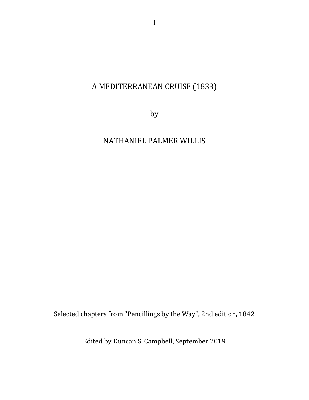## A MEDITERRANEAN CRUISE (1833)

by

# NATHANIEL PALMER WILLIS

Selected chapters from "Pencillings by the Way", 2nd edition, 1842

Edited by Duncan S. Campbell, September 2019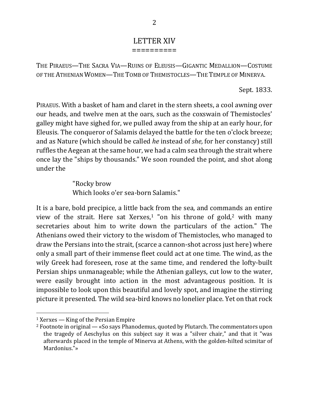#### LETTER XIV ==========

THE PIRAEUS—THE SACRA VIA—RUINS OF ELEUSIS—GIGANTIC MEDALLION—COSTUME OF THE ATHENIAN WOMEN—THE TOMB OF THEMISTOCLES—THE TEMPLE OF MINERVA.

Sept. 1833.

PIRAEUS. With a basket of ham and claret in the stern sheets, a cool awning over our heads, and twelve men at the oars, such as the coxswain of Themistocles' galley might have sighed for, we pulled away from the ship at an early hour, for Eleusis. The conqueror of Salamis delayed the battle for the ten o'clock breeze; and as Nature (which should be called *he* instead of *she*, for her constancy) still ruffles the Aegean at the same hour, we had a calm sea through the strait where once lay the "ships by thousands." We soon rounded the point, and shot along under the

> "Rocky brow Which looks o'er sea-born Salamis."

It is a bare, bold precipice, a little back from the sea, and commands an entire view of the strait. Here sat Xerxes,<sup>1</sup> "on his throne of gold,<sup>2</sup> with many secretaries about him to write down the particulars of the action." The Athenians owed their victory to the wisdom of Themistocles, who managed to draw the Persians into the strait, (scarce a cannon-shot across just here) where only a small part of their immense fleet could act at one time. The wind, as the wily Greek had foreseen, rose at the same time, and rendered the lofty-built Persian ships unmanageable; while the Athenian galleys, cut low to the water, were easily brought into action in the most advantageous position. It is impossible to look upon this beautiful and lovely spot, and imagine the stirring picture it presented. The wild sea-bird knows no lonelier place. Yet on that rock

<sup>&</sup>lt;sup>1</sup> Xerxes — King of the Persian Empire

 $2$  Footnote in original  $-$  «So says Phanodemus, quoted by Plutarch. The commentators upon the tragedy of Aeschylus on this subject say it was a "silver chair," and that it "was afterwards placed in the temple of Minerva at Athens, with the golden-hilted scimitar of Mardonius."»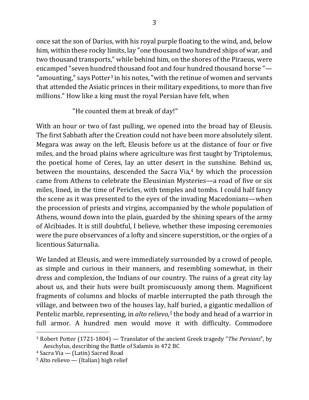once sat the son of Darius, with his royal purple floating to the wind, and, below him, within these rocky limits, lay "one thousand two hundred ships of war, and two thousand transports," while behind him, on the shores of the Piraeus, were encamped "seven hundred thousand foot and four hundred thousand horse "-"amounting," says Potter<sup>3</sup> in his notes, "with the retinue of women and servants that attended the Asiatic princes in their military expeditions, to more than five millions." How like a king must the royal Persian have felt, when

### "He counted them at break of day!"

With an hour or two of fast pulling, we opened into the broad bay of Eleusis. The first Sabbath after the Creation could not have been more absolutely silent. Megara was away on the left, Eleusis before us at the distance of four or five miles, and the broad plains where agriculture was first taught by Triptolemus, the poetical home of Ceres, lay an utter desert in the sunshine. Behind us, between the mountains, descended the Sacra Via, $4$  by which the procession came from Athens to celebrate the Eleusinian Mysteries—a road of five or six miles, lined, in the time of Pericles, with temples and tombs. I could half fancy the scene as it was presented to the eyes of the invading Macedonians—when the procession of priests and virgins, accompanied by the whole population of Athens, wound down into the plain, guarded by the shining spears of the army of Alcibiades. It is still doubtful, I believe, whether these imposing ceremonies were the pure observances of a lofty and sincere superstition, or the orgies of a licentious Saturnalia.

We landed at Eleusis, and were immediately surrounded by a crowd of people, as simple and curious in their manners, and resembling somewhat, in their dress and complexion, the Indians of our country. The ruins of a great city lay about us, and their huts were built promiscuously among them. Magnificent fragments of columns and blocks of marble interrupted the path through the village, and between two of the houses lay, half buried, a gigantic medallion of Pentelic marble, representing, in *alto relievo*,<sup>5</sup> the body and head of a warrior in full armor. A hundred men would move it with difficulty. Commodore

<sup>&</sup>lt;sup>3</sup> Robert Potter (1721-1804) — Translator of the ancient Greek tragedy "*The Persians*", by Aeschylus, describing the Battle of Salamis in 472 BC

 $4$  Sacra Via  $-$  (Latin) Sacred Road

 $5$  Alto relievo — (Italian) high relief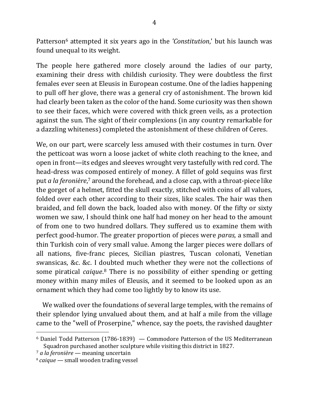Patterson<sup>6</sup> attempted it six years ago in the *'Constitution*,' but his launch was found unequal to its weight.

The people here gathered more closely around the ladies of our party, examining their dress with childish curiosity. They were doubtless the first females ever seen at Eleusis in European costume. One of the ladies happening to pull off her glove, there was a general cry of astonishment. The brown kid had clearly been taken as the color of the hand. Some curiosity was then shown to see their faces, which were covered with thick green veils, as a protection against the sun. The sight of their complexions (in any country remarkable for a dazzling whiteness) completed the astonishment of these children of Ceres.

We, on our part, were scarcely less amused with their costumes in turn. Over the petticoat was worn a loose jacket of white cloth reaching to the knee, and open in front—its edges and sleeves wrought very tastefully with red cord. The head-dress was composed entirely of money. A fillet of gold sequins was first put *a la feronière*,<sup>7</sup> around the forehead, and a close cap, with a throat-piece like the gorget of a helmet, fitted the skull exactly, stitched with coins of all values, folded over each other according to their sizes, like scales. The hair was then braided, and fell down the back, loaded also with money. Of the fifty or sixty women we saw, I should think one half had money on her head to the amount of from one to two hundred dollars. They suffered us to examine them with perfect good-humor. The greater proportion of pieces were *paras*, a small and thin Turkish coin of very small value. Among the larger pieces were dollars of all nations, five-franc pieces, Sicilian piastres, Tuscan colonati, Venetian swansicas, &c. &c. I doubted much whether they were not the collections of some piratical *caique*.<sup>8</sup> There is no possibility of either spending or getting money within many miles of Eleusis, and it seemed to be looked upon as an ornament which they had come too lightly by to know its use.

We walked over the foundations of several large temples, with the remains of their splendor lying unvalued about them, and at half a mile from the village came to the "well of Proserpine," whence, say the poets, the ravished daughter

 $6$  Daniel Todd Patterson (1786-1839)  $-$  Commodore Patterson of the US Mediterranean Squadron purchased another sculpture while visiting this district in 1827.

<sup>&</sup>lt;sup>7</sup> *a la feronière* — meaning uncertain

<sup>&</sup>lt;sup>8</sup> *caique* — small wooden trading vessel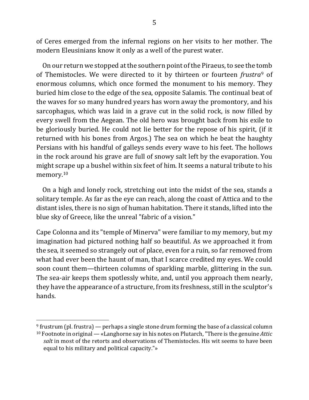of Ceres emerged from the infernal regions on her visits to her mother. The modern Eleusinians know it only as a well of the purest water.

On our return we stopped at the southern point of the Piraeus, to see the tomb of Themistocles. We were directed to it by thirteen or fourteen *frustra*<sup>9</sup> of enormous columns, which once formed the monument to his memory. They buried him close to the edge of the sea, opposite Salamis. The continual beat of the waves for so many hundred years has worn away the promontory, and his sarcophagus, which was laid in a grave cut in the solid rock, is now filled by every swell from the Aegean. The old hero was brought back from his exile to be gloriously buried. He could not lie better for the repose of his spirit, (if it returned with his bones from Argos.) The sea on which he beat the haughty Persians with his handful of galleys sends every wave to his feet. The hollows in the rock around his grave are full of snowy salt left by the evaporation. You might scrape up a bushel within six feet of him. It seems a natural tribute to his memory.10

On a high and lonely rock, stretching out into the midst of the sea, stands a solitary temple. As far as the eye can reach, along the coast of Attica and to the distant isles, there is no sign of human habitation. There it stands, lifted into the blue sky of Greece, like the unreal "fabric of a vision."

Cape Colonna and its "temple of Minerva" were familiar to my memory, but my imagination had pictured nothing half so beautiful. As we approached it from the sea, it seemed so strangely out of place, even for a ruin, so far removed from what had ever been the haunt of man, that I scarce credited my eyes. We could soon count them—thirteen columns of sparkling marble, glittering in the sun. The sea-air keeps them spotlessly white, and, until you approach them nearly, they have the appearance of a structure, from its freshness, still in the sculptor's hands.

 $9$  frustrum (pl. frustra) — perhaps a single stone drum forming the base of a classical column  $10$  Footnote in original — «Langhorne say in his notes on Plutarch, "There is the genuine *Attic* salt in most of the retorts and observations of Themistocles. His wit seems to have been equal to his military and political capacity."»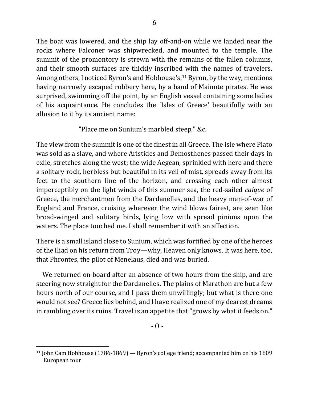The boat was lowered, and the ship lay off-and-on while we landed near the rocks where Falconer was shipwrecked, and mounted to the temple. The summit of the promontory is strewn with the remains of the fallen columns, and their smooth surfaces are thickly inscribed with the names of travelers. Among others, I noticed Byron's and Hobhouse's.<sup>11</sup> Byron, by the way, mentions having narrowly escaped robbery here, by a band of Mainote pirates. He was surprised, swimming off the point, by an English vessel containing some ladies of his acquaintance. He concludes the 'Isles of Greece' beautifully with an allusion to it by its ancient name:

"Place me on Sunium's marbled steep," &c.

The view from the summit is one of the finest in all Greece. The isle where Plato was sold as a slave, and where Aristides and Demosthenes passed their days in exile, stretches along the west; the wide Aegean, sprinkled with here and there a solitary rock, herbless but beautiful in its veil of mist, spreads away from its feet to the southern line of the horizon, and crossing each other almost imperceptibly on the light winds of this summer sea, the red-sailed *caique* of Greece, the merchantmen from the Dardanelles, and the heavy men-of-war of England and France, cruising wherever the wind blows fairest, are seen like broad-winged and solitary birds, lying low with spread pinions upon the waters. The place touched me. I shall remember it with an affection.

There is a small island close to Sunium, which was fortified by one of the heroes of the Iliad on his return from Troy—why, Heaven only knows. It was here, too, that Phrontes, the pilot of Menelaus, died and was buried.

We returned on board after an absence of two hours from the ship, and are steering now straight for the Dardanelles. The plains of Marathon are but a few hours north of our course, and I pass them unwillingly; but what is there one would not see? Greece lies behind, and I have realized one of my dearest dreams in rambling over its ruins. Travel is an appetite that "grows by what it feeds on."

 $11$  John Cam Hobhouse (1786-1869) — Byron's college friend; accompanied him on his 1809 European tour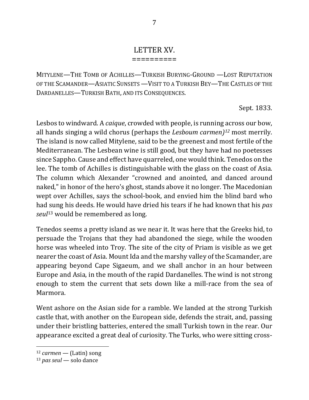## LETTER XV.

==========

MITYLENE—THE TOMB OF ACHILLES—TURKISH BURYING-GROUND —LOST REPUTATION OF THE SCAMANDER—ASIATIC SUNSETS —VISIT TO A TURKISH BEY—THE CASTLES OF THE DARDANELLES—TURKISH BATH, AND ITS CONSEQUENCES.

Sept. 1833.

Lesbos to windward. A *caique*, crowded with people, is running across our bow, all hands singing a wild chorus (perhaps the *Lesboum carmen*)<sup>12</sup> most merrily. The island is now called Mitylene, said to be the greenest and most fertile of the Mediterranean. The Lesbean wine is still good, but they have had no poetesses since Sappho. Cause and effect have quarreled, one would think. Tenedos on the lee. The tomb of Achilles is distinguishable with the glass on the coast of Asia. The column which Alexander "crowned and anointed, and danced around naked," in honor of the hero's ghost, stands above it no longer. The Macedonian wept over Achilles, says the school-book, and envied him the blind bard who had sung his deeds. He would have dried his tears if he had known that his *pas seul*<sup>13</sup> would be remembered as long.

Tenedos seems a pretty island as we near it. It was here that the Greeks hid, to persuade the Trojans that they had abandoned the siege, while the wooden horse was wheeled into Troy. The site of the city of Priam is visible as we get nearer the coast of Asia. Mount Ida and the marshy valley of the Scamander, are appearing beyond Cape Sigaeum, and we shall anchor in an hour between Europe and Asia, in the mouth of the rapid Dardanelles. The wind is not strong enough to stem the current that sets down like a mill-race from the sea of Marmora.

Went ashore on the Asian side for a ramble. We landed at the strong Turkish castle that, with another on the European side, defends the strait, and, passing under their bristling batteries, entered the small Turkish town in the rear. Our appearance excited a great deal of curiosity. The Turks, who were sitting cross-

<sup>12</sup> *carmen* — (Latin) song

<sup>13</sup> *pas seul* — solo dance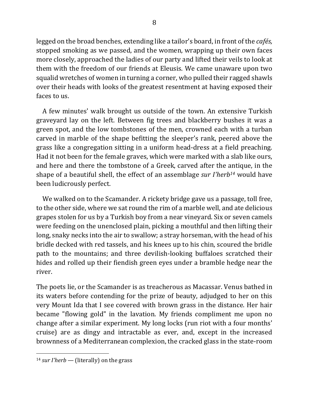legged on the broad benches, extending like a tailor's board, in front of the *cafés*, stopped smoking as we passed, and the women, wrapping up their own faces more closely, approached the ladies of our party and lifted their veils to look at them with the freedom of our friends at Eleusis. We came unaware upon two squalid wretches of women in turning a corner, who pulled their ragged shawls over their heads with looks of the greatest resentment at having exposed their faces to us.

A few minutes' walk brought us outside of the town. An extensive Turkish graveyard lay on the left. Between fig trees and blackberry bushes it was a green spot, and the low tombstones of the men, crowned each with a turban carved in marble of the shape befitting the sleeper's rank, peered above the grass like a congregation sitting in a uniform head-dress at a field preaching. Had it not been for the female graves, which were marked with a slab like ours, and here and there the tombstone of a Greek, carved after the antique, in the shape of a beautiful shell, the effect of an assemblage *sur I'herb<sup>14</sup>* would have been ludicrously perfect.

We walked on to the Scamander. A rickety bridge gave us a passage, toll free, to the other side, where we sat round the rim of a marble well, and ate delicious grapes stolen for us by a Turkish boy from a near vineyard. Six or seven camels were feeding on the unenclosed plain, picking a mouthful and then lifting their long, snaky necks into the air to swallow; a stray horseman, with the head of his bridle decked with red tassels, and his knees up to his chin, scoured the bridle path to the mountains; and three devilish-looking buffaloes scratched their hides and rolled up their fiendish green eyes under a bramble hedge near the river.

The poets lie, or the Scamander is as treacherous as Macassar. Venus bathed in its waters before contending for the prize of beauty, adjudged to her on this very Mount Ida that I see covered with brown grass in the distance. Her hair became "flowing gold" in the lavation. My friends compliment me upon no change after a similar experiment. My long locks (run riot with a four months' cruise) are as dingy and intractable as ever, and, except in the increased brownness of a Mediterranean complexion, the cracked glass in the state-room

 $14$  *sur I'herb* — (literally) on the grass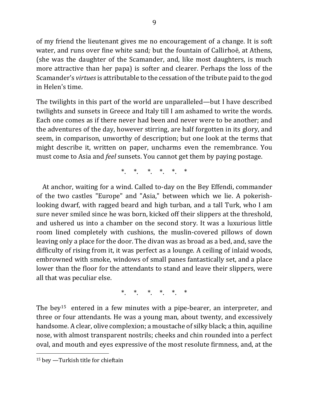of my friend the lieutenant gives me no encouragement of a change. It is soft water, and runs over fine white sand; but the fountain of Callirhoë, at Athens, (she was the daughter of the Scamander, and, like most daughters, is much more attractive than her papa) is softer and clearer. Perhaps the loss of the Scamander's *virtues* is attributable to the cessation of the tribute paid to the god in Helen's time.

The twilights in this part of the world are unparalleled—but I have described twilights and sunsets in Greece and Italy till I am ashamed to write the words. Each one comes as if there never had been and never were to be another; and the adventures of the day, however stirring, are half forgotten in its glory, and seem, in comparison, unworthy of description; but one look at the terms that might describe it, written on paper, uncharms even the remembrance. You must come to Asia and *feel* sunsets. You cannot get them by paying postage.

\* \* \* \* \* \*

At anchor, waiting for a wind. Called to-day on the Bey Effendi, commander of the two castles "Europe" and "Asia," between which we lie. A pokerishlooking dwarf, with ragged beard and high turban, and a tall Turk, who I am sure never smiled since he was born, kicked off their slippers at the threshold, and ushered us into a chamber on the second story. It was a luxurious little room lined completely with cushions, the muslin-covered pillows of down leaving only a place for the door. The divan was as broad as a bed, and, save the difficulty of rising from it, it was perfect as a lounge. A ceiling of inlaid woods, embrowned with smoke, windows of small panes fantastically set, and a place lower than the floor for the attendants to stand and leave their slippers, were all that was peculiar else.

\*. \*. \*. \*. \*. \*. \*

The bey<sup>15</sup> entered in a few minutes with a pipe-bearer, an interpreter, and three or four attendants. He was a young man, about twenty, and excessively handsome. A clear, olive complexion; a moustache of silky black; a thin, aquiline nose, with almost transparent nostrils; cheeks and chin rounded into a perfect oval, and mouth and eyes expressive of the most resolute firmness, and, at the

 $15$  bey  $-$ Turkish title for chieftain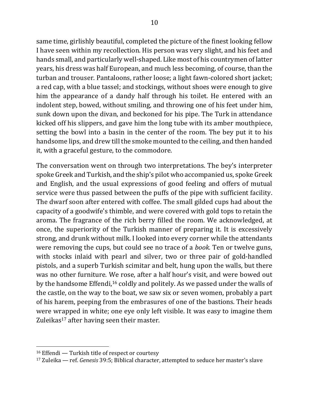same time, girlishly beautiful, completed the picture of the finest looking fellow I have seen within my recollection. His person was very slight, and his feet and hands small, and particularly well-shaped. Like most of his countrymen of latter years, his dress was half European, and much less becoming, of course, than the turban and trouser. Pantaloons, rather loose; a light fawn-colored short jacket; a red cap, with a blue tassel; and stockings, without shoes were enough to give him the appearance of a dandy half through his toilet. He entered with an indolent step, bowed, without smiling, and throwing one of his feet under him, sunk down upon the divan, and beckoned for his pipe. The Turk in attendance kicked off his slippers, and gave him the long tube with its amber mouthpiece, setting the bowl into a basin in the center of the room. The bey put it to his handsome lips, and drew till the smoke mounted to the ceiling, and then handed it, with a graceful gesture, to the commodore.

The conversation went on through two interpretations. The bey's interpreter spoke Greek and Turkish, and the ship's pilot who accompanied us, spoke Greek and English, and the usual expressions of good feeling and offers of mutual service were thus passed between the puffs of the pipe with sufficient facility. The dwarf soon after entered with coffee. The small gilded cups had about the capacity of a goodwife's thimble, and were covered with gold tops to retain the aroma. The fragrance of the rich berry filled the room. We acknowledged, at once, the superiority of the Turkish manner of preparing it. It is excessively strong, and drunk without milk. I looked into every corner while the attendants were removing the cups, but could see no trace of a *book*. Ten or twelve guns, with stocks inlaid with pearl and silver, two or three pair of gold-handled pistols, and a superb Turkish scimitar and belt, hung upon the walls, but there was no other furniture. We rose, after a half hour's visit, and were bowed out by the handsome Effendi,<sup>16</sup> coldly and politely. As we passed under the walls of the castle, on the way to the boat, we saw six or seven women, probably a part of his harem, peeping from the embrasures of one of the bastions. Their heads were wrapped in white; one eye only left visible. It was easy to imagine them Zuleikas<sup>17</sup> after having seen their master.

 $16$  Effendi  $-$  Turkish title of respect or courtesy

<sup>&</sup>lt;sup>17</sup> Zuleika — ref. *Genesis* 39:5; Biblical character, attempted to seduce her master's slave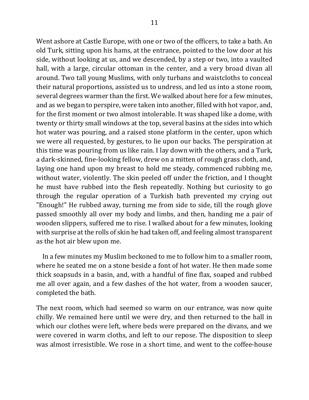Went ashore at Castle Europe, with one or two of the officers, to take a bath. An old Turk, sitting upon his hams, at the entrance, pointed to the low door at his side, without looking at us, and we descended, by a step or two, into a vaulted hall, with a large, circular ottoman in the center, and a very broad divan all around. Two tall young Muslims, with only turbans and waistcloths to conceal their natural proportions, assisted us to undress, and led us into a stone room, several degrees warmer than the first. We walked about here for a few minutes, and as we began to perspire, were taken into another, filled with hot vapor, and, for the first moment or two almost intolerable. It was shaped like a dome, with twenty or thirty small windows at the top, several basins at the sides into which hot water was pouring, and a raised stone platform in the center, upon which we were all requested, by gestures, to lie upon our backs. The perspiration at this time was pouring from us like rain. I lay down with the others, and a Turk, a dark-skinned, fine-looking fellow, drew on a mitten of rough grass cloth, and, laying one hand upon my breast to hold me steady, commenced rubbing me, without water, violently. The skin peeled off under the friction, and I thought he must have rubbed into the flesh repeatedly. Nothing but curiosity to go through the regular operation of a Turkish bath prevented my crying out "Enough!" He rubbed away, turning me from side to side, till the rough glove passed smoothly all over my body and limbs, and then, handing me a pair of wooden slippers, suffered me to rise. I walked about for a few minutes, looking with surprise at the rolls of skin he had taken off, and feeling almost transparent as the hot air blew upon me.

In a few minutes my Muslim beckoned to me to follow him to a smaller room, where he seated me on a stone beside a font of hot water. He then made some thick soapsuds in a basin, and, with a handful of fine flax, soaped and rubbed me all over again, and a few dashes of the hot water, from a wooden saucer, completed the bath.

The next room, which had seemed so warm on our entrance, was now quite chilly. We remained here until we were dry, and then returned to the hall in which our clothes were left, where beds were prepared on the divans, and we were covered in warm cloths, and left to our repose. The disposition to sleep was almost irresistible. We rose in a short time, and went to the coffee-house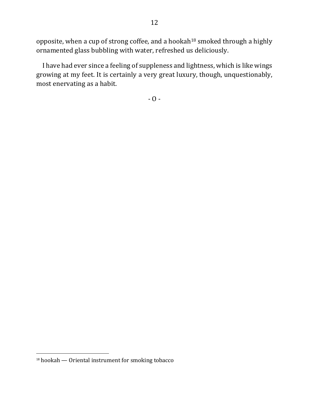opposite, when a cup of strong coffee, and a hookah<sup>18</sup> smoked through a highly ornamented glass bubbling with water, refreshed us deliciously.

I have had ever since a feeling of suppleness and lightness, which is like wings growing at my feet. It is certainly a very great luxury, though, unquestionably, most enervating as a habit.

 $- 0 -$ 

 $18$  hookah  $-$  Oriental instrument for smoking tobacco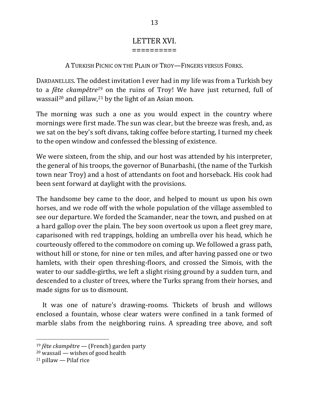#### LETTER XVI. ==========

A TURKISH PICNIC ON THE PLAIN OF TROY—FINGERS VERSUS FORKS.

DARDANELLES. The oddest invitation I ever had in my life was from a Turkish bey to a *fête ckampêtre<sup>19</sup>* on the ruins of Troy! We have just returned, full of wassail<sup>20</sup> and pillaw,<sup>21</sup> by the light of an Asian moon.

The morning was such a one as you would expect in the country where mornings were first made. The sun was clear, but the breeze was fresh, and, as we sat on the bey's soft divans, taking coffee before starting, I turned my cheek to the open window and confessed the blessing of existence.

We were sixteen, from the ship, and our host was attended by his interpreter, the general of his troops, the governor of Bunarbashi, (the name of the Turkish town near Troy) and a host of attendants on foot and horseback. His cook had been sent forward at daylight with the provisions.

The handsome bey came to the door, and helped to mount us upon his own horses, and we rode off with the whole population of the village assembled to see our departure. We forded the Scamander, near the town, and pushed on at a hard gallop over the plain. The bey soon overtook us upon a fleet grey mare, caparisoned with red trappings, holding an umbrella over his head, which he courteously offered to the commodore on coming up. We followed a grass path, without hill or stone, for nine or ten miles, and after having passed one or two hamlets, with their open threshing-floors, and crossed the Simois, with the water to our saddle-girths, we left a slight rising ground by a sudden turn, and descended to a cluster of trees, where the Turks sprang from their horses, and made signs for us to dismount.

It was one of nature's drawing-rooms. Thickets of brush and willows enclosed a fountain, whose clear waters were confined in a tank formed of marble slabs from the neighboring ruins. A spreading tree above, and soft

<sup>&</sup>lt;sup>19</sup> *fête ckampêtre* — (French) garden party

 $20$  wassail — wishes of good health

 $21$  pillaw — Pilaf rice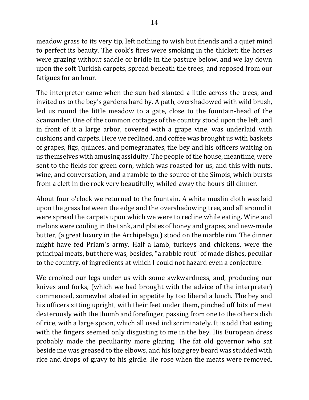meadow grass to its very tip, left nothing to wish but friends and a quiet mind to perfect its beauty. The cook's fires were smoking in the thicket; the horses were grazing without saddle or bridle in the pasture below, and we lay down upon the soft Turkish carpets, spread beneath the trees, and reposed from our fatigues for an hour.

The interpreter came when the sun had slanted a little across the trees, and invited us to the bey's gardens hard by. A path, overshadowed with wild brush, led us round the little meadow to a gate, close to the fountain-head of the Scamander. One of the common cottages of the country stood upon the left, and in front of it a large arbor, covered with a grape vine, was underlaid with cushions and carpets. Here we reclined, and coffee was brought us with baskets of grapes, figs, quinces, and pomegranates, the bey and his officers waiting on us themselves with amusing assiduity. The people of the house, meantime, were sent to the fields for green corn, which was roasted for us, and this with nuts, wine, and conversation, and a ramble to the source of the Simois, which bursts from a cleft in the rock very beautifully, whiled away the hours till dinner.

About four o'clock we returned to the fountain. A white muslin cloth was laid upon the grass between the edge and the overshadowing tree, and all around it were spread the carpets upon which we were to recline while eating. Wine and melons were cooling in the tank, and plates of honey and grapes, and new-made butter, (a great luxury in the Archipelago,) stood on the marble rim. The dinner might have fed Priam's army. Half a lamb, turkeys and chickens, were the principal meats, but there was, besides, "a rabble rout" of made dishes, peculiar to the country, of ingredients at which I could not hazard even a conjecture.

We crooked our legs under us with some awkwardness, and, producing our knives and forks, (which we had brought with the advice of the interpreter) commenced, somewhat abated in appetite by too liberal a lunch. The bey and his officers sitting upright, with their feet under them, pinched off bits of meat dexterously with the thumb and forefinger, passing from one to the other a dish of rice, with a large spoon, which all used indiscriminately. It is odd that eating with the fingers seemed only disgusting to me in the bey. His European dress probably made the peculiarity more glaring. The fat old governor who sat beside me was greased to the elbows, and his long grey beard was studded with rice and drops of gravy to his girdle. He rose when the meats were removed,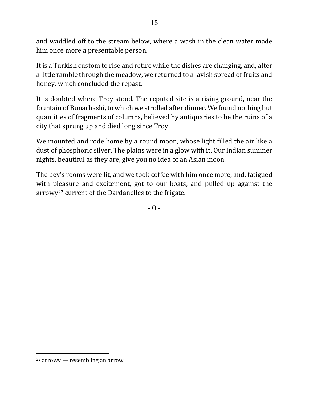and waddled off to the stream below, where a wash in the clean water made him once more a presentable person.

It is a Turkish custom to rise and retire while the dishes are changing, and, after a little ramble through the meadow, we returned to a lavish spread of fruits and honey, which concluded the repast.

It is doubted where Troy stood. The reputed site is a rising ground, near the fountain of Bunarbashi, to which we strolled after dinner. We found nothing but quantities of fragments of columns, believed by antiquaries to be the ruins of a city that sprung up and died long since Troy.

We mounted and rode home by a round moon, whose light filled the air like a dust of phosphoric silver. The plains were in a glow with it. Our Indian summer nights, beautiful as they are, give you no idea of an Asian moon.

The bey's rooms were lit, and we took coffee with him once more, and, fatigued with pleasure and excitement, got to our boats, and pulled up against the arrowy<sup>22</sup> current of the Dardanelles to the frigate.

 $- 0 -$ 

 $22$  arrowy — resembling an arrow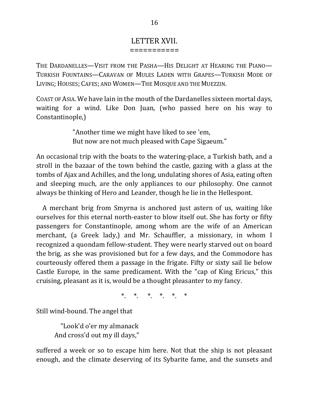#### LETTER XVII. ===========

THE DARDANELLES—VISIT FROM THE PASHA—HIS DELIGHT AT HEARING THE PIANO— TURKISH FOUNTAINS—CARAVAN OF MULES LADEN WITH GRAPES—TURKISH MODE OF LIVING; HOUSES; CAFES; AND WOMEN-THE MOSQUE AND THE MUEZZIN.

COAST OF ASIA. We have lain in the mouth of the Dardanelles sixteen mortal days, waiting for a wind. Like Don Juan, (who passed here on his way to Constantinople,)

> "Another time we might have liked to see 'em, But now are not much pleased with Cape Sigaeum."

An occasional trip with the boats to the watering-place, a Turkish bath, and a stroll in the bazaar of the town behind the castle, gazing with a glass at the tombs of Ajax and Achilles, and the long, undulating shores of Asia, eating often and sleeping much, are the only appliances to our philosophy. One cannot always be thinking of Hero and Leander, though he lie in the Hellespont.

A merchant brig from Smyrna is anchored just astern of us, waiting like ourselves for this eternal north-easter to blow itself out. She has forty or fifty passengers for Constantinople, among whom are the wife of an American merchant, (a Greek lady,) and Mr. Schauffler, a missionary, in whom I recognized a quondam fellow-student. They were nearly starved out on board the brig, as she was provisioned but for a few days, and the Commodore has courteously offered them a passage in the frigate. Fifty or sixty sail lie below Castle Europe, in the same predicament. With the "cap of King Ericus," this cruising, pleasant as it is, would be a thought pleasanter to my fancy.

\* \* \* \* \* \*

Still wind-bound. The angel that

"Look'd o'er my almanack And cross'd out my ill days,"

suffered a week or so to escape him here. Not that the ship is not pleasant enough, and the climate deserving of its Sybarite fame, and the sunsets and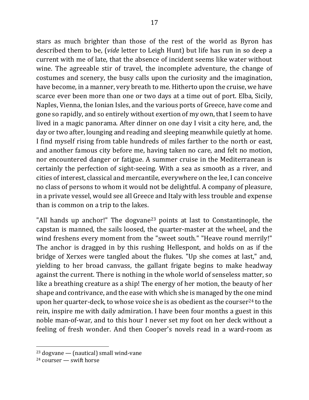stars as much brighter than those of the rest of the world as Byron has described them to be, *(vide* letter to Leigh Hunt) but life has run in so deep a current with me of late, that the absence of incident seems like water without wine. The agreeable stir of travel, the incomplete adventure, the change of costumes and scenery, the busy calls upon the curiosity and the imagination, have become, in a manner, very breath to me. Hitherto upon the cruise, we have scarce ever been more than one or two days at a time out of port. Elba, Sicily, Naples, Vienna, the Ionian Isles, and the various ports of Greece, have come and gone so rapidly, and so entirely without exertion of my own, that I seem to have lived in a magic panorama. After dinner on one day I visit a city here, and, the day or two after, lounging and reading and sleeping meanwhile quietly at home. I find myself rising from table hundreds of miles farther to the north or east, and another famous city before me, having taken no care, and felt no motion, nor encountered danger or fatigue. A summer cruise in the Mediterranean is certainly the perfection of sight-seeing. With a sea as smooth as a river, and cities of interest, classical and mercantile, everywhere on the lee, I can conceive no class of persons to whom it would not be delightful. A company of pleasure, in a private vessel, would see all Greece and Italy with less trouble and expense than is common on a trip to the lakes.

"All hands up anchor!" The dogvane<sup>23</sup> points at last to Constantinople, the capstan is manned, the sails loosed, the quarter-master at the wheel, and the wind freshens every moment from the "sweet south." "Heave round merrily!" The anchor is dragged in by this rushing Hellespont, and holds on as if the bridge of Xerxes were tangled about the flukes. "Up she comes at last," and, yielding to her broad canvass, the gallant frigate begins to make headway against the current. There is nothing in the whole world of senseless matter, so like a breathing creature as a ship! The energy of her motion, the beauty of her shape and contrivance, and the ease with which she is managed by the one mind upon her quarter-deck, to whose voice she is as obedient as the courser<sup>24</sup> to the rein, inspire me with daily admiration. I have been four months a guest in this noble man-of-war, and to this hour I never set my foot on her deck without a feeling of fresh wonder. And then Cooper's novels read in a ward-room as

 $23$  dogvane — (nautical) small wind-vane

 $24$  courser — swift horse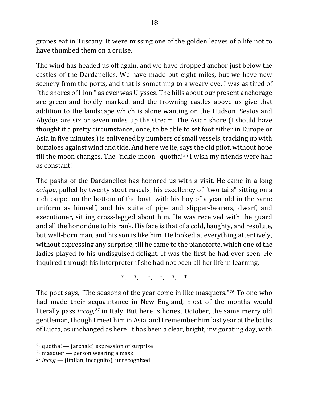grapes eat in Tuscany. It were missing one of the golden leaves of a life not to have thumbed them on a cruise.

The wind has headed us off again, and we have dropped anchor just below the castles of the Dardanelles. We have made but eight miles, but we have new scenery from the ports, and that is something to a weary eye. I was as tired of "the shores of Ilion" as ever was Ulysses. The hills about our present anchorage are green and boldly marked, and the frowning castles above us give that addition to the landscape which is alone wanting on the Hudson. Sestos and Abydos are six or seven miles up the stream. The Asian shore (I should have thought it a pretty circumstance, once, to be able to set foot either in Europe or Asia in five minutes, is enlivened by numbers of small vessels, tracking up with buffaloes against wind and tide. And here we lie, says the old pilot, without hope till the moon changes. The "fickle moon" quotha!<sup>25</sup> I wish my friends were half as constant!

The pasha of the Dardanelles has honored us with a visit. He came in a long *caique*, pulled by twenty stout rascals; his excellency of "two tails" sitting on a rich carpet on the bottom of the boat, with his boy of a year old in the same uniform as himself, and his suite of pipe and slipper-bearers, dwarf, and executioner, sitting cross-legged about him. He was received with the guard and all the honor due to his rank. His face is that of a cold, haughty, and resolute, but well-born man, and his son is like him. He looked at everything attentively, without expressing any surprise, till he came to the pianoforte, which one of the ladies played to his undisguised delight. It was the first he had ever seen. He inquired through his interpreter if she had not been all her life in learning.

\* \* \* \* \*

The poet says, "The seasons of the year come in like masquers."<sup>26</sup> To one who had made their acquaintance in New England, most of the months would literally pass *incog*,<sup>27</sup> in Italy. But here is honest October, the same merry old gentleman, though I meet him in Asia, and I remember him last year at the baths of Lucca, as unchanged as here. It has been a clear, bright, invigorating day, with

 $25$  quotha! — (archaic) expression of surprise

 $26$  masquer — person wearing a mask

<sup>&</sup>lt;sup>27</sup> *incog* — (Italian, incognito), unrecognized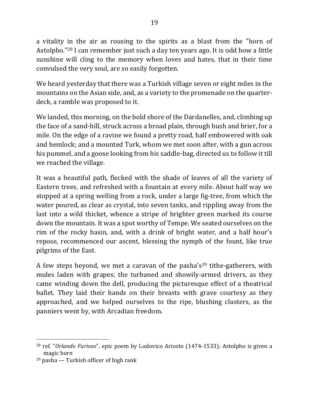a vitality in the air as rousing to the spirits as a blast from the "horn of Astolpho."<sup>28</sup> I can remember just such a day ten years ago. It is odd how a little sunshine will cling to the memory when loves and hates, that in their time convulsed the very soul, are so easily forgotten.

We heard yesterday that there was a Turkish village seven or eight miles in the mountains on the Asian side, and, as a variety to the promenade on the quarterdeck, a ramble was proposed to it.

We landed, this morning, on the bold shore of the Dardanelles, and, climbing up the face of a sand-hill, struck across a broad plain, through bush and brier, for a mile. On the edge of a ravine we found a pretty road, half embowered with oak and hemlock; and a mounted Turk, whom we met soon after, with a gun across his pummel, and a goose looking from his saddle-bag, directed us to follow it till we reached the village.

It was a beautiful path, flecked with the shade of leaves of all the variety of Eastern trees, and refreshed with a fountain at every mile. About half way we stopped at a spring welling from a rock, under a large fig-tree, from which the water poured, as clear as crystal, into seven tanks, and rippling away from the last into a wild thicket, whence a stripe of brighter green marked its course down the mountain. It was a spot worthy of Tempe. We seated ourselves on the rim of the rocky basin, and, with a drink of bright water, and a half hour's repose, recommenced our ascent, blessing the nymph of the fount, like true pilgrims of the East.

A few steps beyond, we met a caravan of the pasha's<sup>29</sup> tithe-gatherers, with mules laden with grapes; the turbaned and showily-armed drivers, as they came winding down the dell, producing the picturesque effect of a theatrical ballet. They laid their hands on their breasts with grave courtesy as they approached, and we helped ourselves to the ripe, blushing clusters, as the panniers went by, with Arcadian freedom.

<sup>&</sup>lt;sup>28</sup> ref. "Orlando Furioso", epic poem by Ludovico Ariosto (1474-1533); Astolpho is given a magic horn

 $29$  pasha — Turkish officer of high rank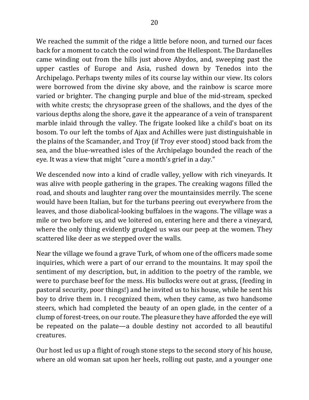We reached the summit of the ridge a little before noon, and turned our faces back for a moment to catch the cool wind from the Hellespont. The Dardanelles came winding out from the hills just above Abydos, and, sweeping past the upper castles of Europe and Asia, rushed down by Tenedos into the Archipelago. Perhaps twenty miles of its course lay within our view. Its colors were borrowed from the divine sky above, and the rainbow is scarce more varied or brighter. The changing purple and blue of the mid-stream, specked with white crests; the chrysoprase green of the shallows, and the dyes of the various depths along the shore, gave it the appearance of a vein of transparent marble inlaid through the valley. The frigate looked like a child's boat on its bosom. To our left the tombs of Ajax and Achilles were just distinguishable in the plains of the Scamander, and Troy (if Troy ever stood) stood back from the sea, and the blue-wreathed isles of the Archipelago bounded the reach of the eye. It was a view that might "cure a month's grief in a day."

We descended now into a kind of cradle valley, yellow with rich vineyards. It was alive with people gathering in the grapes. The creaking wagons filled the road, and shouts and laughter rang over the mountainsides merrily. The scene would have been Italian, but for the turbans peering out everywhere from the leaves, and those diabolical-looking buffaloes in the wagons. The village was a mile or two before us, and we loitered on, entering here and there a vineyard, where the only thing evidently grudged us was our peep at the women. They scattered like deer as we stepped over the walls.

Near the village we found a grave Turk, of whom one of the officers made some inquiries, which were a part of our errand to the mountains. It may spoil the sentiment of my description, but, in addition to the poetry of the ramble, we were to purchase beef for the mess. His bullocks were out at grass, (feeding in pastoral security, poor things!) and he invited us to his house, while he sent his boy to drive them in. I recognized them, when they came, as two handsome steers, which had completed the beauty of an open glade, in the center of a clump of forest-trees, on our route. The pleasure they have afforded the eye will be repeated on the palate—a double destiny not accorded to all beautiful creatures.

Our host led us up a flight of rough stone steps to the second story of his house, where an old woman sat upon her heels, rolling out paste, and a younger one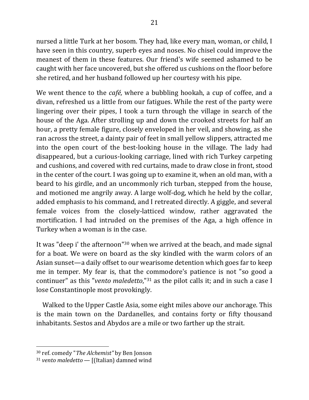nursed a little Turk at her bosom. They had, like every man, woman, or child, I have seen in this country, superb eyes and noses. No chisel could improve the meanest of them in these features. Our friend's wife seemed ashamed to be caught with her face uncovered, but she offered us cushions on the floor before she retired, and her husband followed up her courtesy with his pipe.

We went thence to the *café*, where a bubbling hookah, a cup of coffee, and a divan, refreshed us a little from our fatigues. While the rest of the party were lingering over their pipes, I took a turn through the village in search of the house of the Aga. After strolling up and down the crooked streets for half an hour, a pretty female figure, closely enveloped in her veil, and showing, as she ran across the street, a dainty pair of feet in small yellow slippers, attracted me into the open court of the best-looking house in the village. The lady had disappeared, but a curious-looking carriage, lined with rich Turkey carpeting and cushions, and covered with red curtains, made to draw close in front, stood in the center of the court. I was going up to examine it, when an old man, with a beard to his girdle, and an uncommonly rich turban, stepped from the house, and motioned me angrily away. A large wolf-dog, which he held by the collar, added emphasis to his command, and I retreated directly. A giggle, and several female voices from the closely-latticed window, rather aggravated the mortification. I had intruded on the premises of the Aga, a high offence in Turkey when a woman is in the case.

It was "deep i' the afternoon"<sup>30</sup> when we arrived at the beach, and made signal for a boat. We were on board as the sky kindled with the warm colors of an Asian sunset—a daily offset to our wearisome detention which goes far to keep me in temper. My fear is, that the commodore's patience is not "so good a continuer" as this "*vento maledetto*,"<sup>31</sup> as the pilot calls it; and in such a case I lose Constantinople most provokingly.

Walked to the Upper Castle Asia, some eight miles above our anchorage. This is the main town on the Dardanelles, and contains forty or fifty thousand inhabitants. Sestos and Abydos are a mile or two farther up the strait.

<sup>&</sup>lt;sup>30</sup> ref. comedy "*The Alchemist"* by Ben Jonson

 $31$  *vento maledetto* — [(Italian) damned wind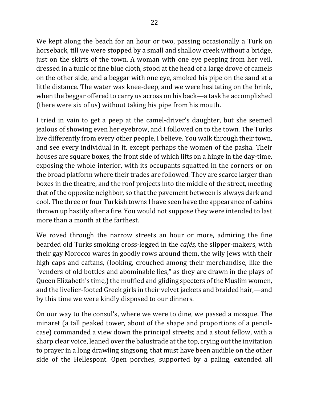We kept along the beach for an hour or two, passing occasionally a Turk on horseback, till we were stopped by a small and shallow creek without a bridge, just on the skirts of the town. A woman with one eye peeping from her veil, dressed in a tunic of fine blue cloth, stood at the head of a large drove of camels on the other side, and a beggar with one eye, smoked his pipe on the sand at a little distance. The water was knee-deep, and we were hesitating on the brink, when the beggar offered to carry us across on his back—a task he accomplished (there were six of us) without taking his pipe from his mouth.

I tried in vain to get a peep at the camel-driver's daughter, but she seemed jealous of showing even her eyebrow, and I followed on to the town. The Turks live differently from every other people, I believe. You walk through their town, and see every individual in it, except perhaps the women of the pasha. Their houses are square boxes, the front side of which lifts on a hinge in the day-time, exposing the whole interior, with its occupants squatted in the corners or on the broad platform where their trades are followed. They are scarce larger than boxes in the theatre, and the roof projects into the middle of the street, meeting that of the opposite neighbor, so that the pavement between is always dark and cool. The three or four Turkish towns I have seen have the appearance of cabins thrown up hastily after a fire. You would not suppose they were intended to last more than a month at the farthest.

We roved through the narrow streets an hour or more, admiring the fine bearded old Turks smoking cross-legged in the *cafés*, the slipper-makers, with their gay Morocco wares in goodly rows around them, the wily Jews with their high caps and caftans, (looking, crouched among their merchandise, like the "venders of old bottles and abominable lies," as they are drawn in the plays of Queen Elizabeth's time,) the muffled and gliding specters of the Muslim women, and the livelier-footed Greek girls in their velvet jackets and braided hair,—and by this time we were kindly disposed to our dinners.

On our way to the consul's, where we were to dine, we passed a mosque. The minaret (a tall peaked tower, about of the shape and proportions of a pencilcase) commanded a view down the principal streets; and a stout fellow, with a sharp clear voice, leaned over the balustrade at the top, crying out the invitation to prayer in a long drawling singsong, that must have been audible on the other side of the Hellespont. Open porches, supported by a paling, extended all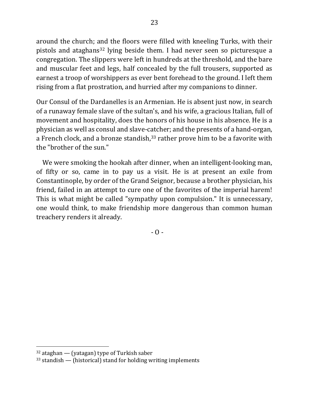around the church; and the floors were filled with kneeling Turks, with their pistols and ataghans<sup>32</sup> lying beside them. I had never seen so picturesque a congregation. The slippers were left in hundreds at the threshold, and the bare and muscular feet and legs, half concealed by the full trousers, supported as earnest a troop of worshippers as ever bent forehead to the ground. I left them rising from a flat prostration, and hurried after my companions to dinner.

Our Consul of the Dardanelles is an Armenian. He is absent just now, in search of a runaway female slave of the sultan's, and his wife, a gracious Italian, full of movement and hospitality, does the honors of his house in his absence. He is a physician as well as consul and slave-catcher; and the presents of a hand-organ, a French clock, and a bronze standish,<sup>33</sup> rather prove him to be a favorite with the "brother of the sun."

We were smoking the hookah after dinner, when an intelligent-looking man, of fifty or so, came in to pay us a visit. He is at present an exile from Constantinople, by order of the Grand Seignor, because a brother physician, his friend, failed in an attempt to cure one of the favorites of the imperial harem! This is what might be called "sympathy upon compulsion." It is unnecessary, one would think, to make friendship more dangerous than common human treachery renders it already.

 $- 0 -$ 

 $32$  ataghan  $-$  (yatagan) type of Turkish saber

 $33$  standish — (historical) stand for holding writing implements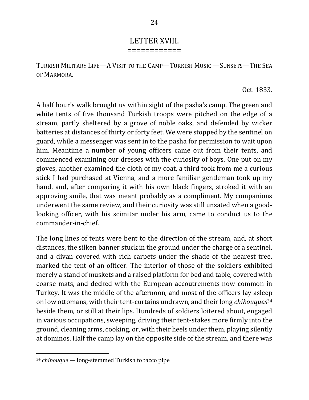# LETTER XVIII.

============

TURKISH MILITARY LIFE—A VISIT TO THE CAMP—TURKISH MUSIC —SUNSETS—THE SEA OF MARMORA.

#### Oct. 1833.

A half hour's walk brought us within sight of the pasha's camp. The green and white tents of five thousand Turkish troops were pitched on the edge of a stream, partly sheltered by a grove of noble oaks, and defended by wicker batteries at distances of thirty or forty feet. We were stopped by the sentinel on guard, while a messenger was sent in to the pasha for permission to wait upon him. Meantime a number of young officers came out from their tents, and commenced examining our dresses with the curiosity of boys. One put on my gloves, another examined the cloth of my coat, a third took from me a curious stick I had purchased at Vienna, and a more familiar gentleman took up my hand, and, after comparing it with his own black fingers, stroked it with an approving smile, that was meant probably as a compliment. My companions underwent the same review, and their curiosity was still unsated when a goodlooking officer, with his scimitar under his arm, came to conduct us to the commander-in-chief.

The long lines of tents were bent to the direction of the stream, and, at short distances, the silken banner stuck in the ground under the charge of a sentinel, and a divan covered with rich carpets under the shade of the nearest tree, marked the tent of an officer. The interior of those of the soldiers exhibited merely a stand of muskets and a raised platform for bed and table, covered with coarse mats, and decked with the European accoutrements now common in Turkey. It was the middle of the afternoon, and most of the officers lay asleep on low ottomans, with their tent-curtains undrawn, and their long *chibouques*<sup>34</sup> beside them, or still at their lips. Hundreds of soldiers loitered about, engaged in various occupations, sweeping, driving their tent-stakes more firmly into the ground, cleaning arms, cooking, or, with their heels under them, playing silently at dominos. Half the camp lay on the opposite side of the stream, and there was

<sup>&</sup>lt;sup>34</sup> *chibouque* — long-stemmed Turkish tobacco pipe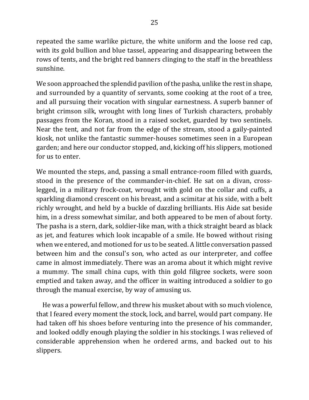repeated the same warlike picture, the white uniform and the loose red cap, with its gold bullion and blue tassel, appearing and disappearing between the rows of tents, and the bright red banners clinging to the staff in the breathless sunshine.

We soon approached the splendid pavilion of the pasha, unlike the rest in shape, and surrounded by a quantity of servants, some cooking at the root of a tree, and all pursuing their vocation with singular earnestness. A superb banner of bright crimson silk, wrought with long lines of Turkish characters, probably passages from the Koran, stood in a raised socket, guarded by two sentinels. Near the tent, and not far from the edge of the stream, stood a gaily-painted kiosk, not unlike the fantastic summer-houses sometimes seen in a European garden; and here our conductor stopped, and, kicking off his slippers, motioned for us to enter.

We mounted the steps, and, passing a small entrance-room filled with guards, stood in the presence of the commander-in-chief. He sat on a divan, crosslegged, in a military frock-coat, wrought with gold on the collar and cuffs, a sparkling diamond crescent on his breast, and a scimitar at his side, with a belt richly wrought, and held by a buckle of dazzling brilliants. His Aide sat beside him, in a dress somewhat similar, and both appeared to be men of about forty. The pasha is a stern, dark, soldier-like man, with a thick straight beard as black as jet, and features which look incapable of a smile. He bowed without rising when we entered, and motioned for us to be seated. A little conversation passed between him and the consul's son, who acted as our interpreter, and coffee came in almost immediately. There was an aroma about it which might revive a mummy. The small china cups, with thin gold filigree sockets, were soon emptied and taken away, and the officer in waiting introduced a soldier to go through the manual exercise, by way of amusing us.

He was a powerful fellow, and threw his musket about with so much violence, that I feared every moment the stock, lock, and barrel, would part company. He had taken off his shoes before venturing into the presence of his commander, and looked oddly enough playing the soldier in his stockings. I was relieved of considerable apprehension when he ordered arms, and backed out to his slippers.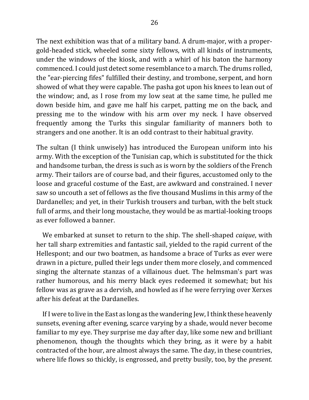The next exhibition was that of a military band. A drum-major, with a propergold-headed stick, wheeled some sixty fellows, with all kinds of instruments, under the windows of the kiosk, and with a whirl of his baton the harmony commenced. I could just detect some resemblance to a march. The drums rolled, the "ear-piercing fifes" fulfilled their destiny, and trombone, serpent, and horn showed of what they were capable. The pasha got upon his knees to lean out of the window; and, as I rose from my low seat at the same time, he pulled me down beside him, and gave me half his carpet, patting me on the back, and pressing me to the window with his arm over my neck. I have observed frequently among the Turks this singular familiarity of manners both to strangers and one another. It is an odd contrast to their habitual gravity.

The sultan (I think unwisely) has introduced the European uniform into his army. With the exception of the Tunisian cap, which is substituted for the thick and handsome turban, the dress is such as is worn by the soldiers of the French army. Their tailors are of course bad, and their figures, accustomed only to the loose and graceful costume of the East, are awkward and constrained. I never saw so uncouth a set of fellows as the five thousand Muslims in this army of the Dardanelles; and yet, in their Turkish trousers and turban, with the belt stuck full of arms, and their long moustache, they would be as martial-looking troops as ever followed a banner.

We embarked at sunset to return to the ship. The shell-shaped *caique*, with her tall sharp extremities and fantastic sail, yielded to the rapid current of the Hellespont; and our two boatmen, as handsome a brace of Turks as ever were drawn in a picture, pulled their legs under them more closely, and commenced singing the alternate stanzas of a villainous duet. The helmsman's part was rather humorous, and his merry black eyes redeemed it somewhat; but his fellow was as grave as a dervish, and howled as if he were ferrying over Xerxes after his defeat at the Dardanelles.

If I were to live in the East as long as the wandering Jew, I think these heavenly sunsets, evening after evening, scarce varying by a shade, would never become familiar to my eye. They surprise me day after day, like some new and brilliant phenomenon, though the thoughts which they bring, as it were by a habit contracted of the hour, are almost always the same. The day, in these countries, where life flows so thickly, is engrossed, and pretty busily, too, by the *present*.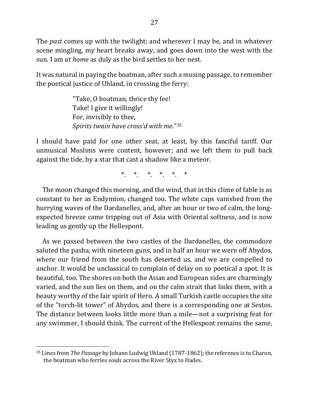The *past* comes up with the twilight; and wherever I may be, and in whatever scene mingling, my heart breaks away, and goes down into the west with the sun. I am *at home* as duly as the bird settles to her nest.

It was natural in paying the boatman, after such a musing passage, to remember the poetical justice of Uhland, in crossing the ferry:

> "Take, O boatman, thrice thy fee! Take! I give it willingly! For, invisibly to thee, *Spirits twain have cross'd with me.*"35

I should have paid for one other seat, at least, by this fanciful tariff. Our unmusical Muslims were content, however; and we left them to pull back against the tide, by a star that cast a shadow like a meteor.

 $\ast$   $\ast$   $\ast$   $\ast$   $\ast$   $\ast$   $\ast$ 

The moon changed this morning, and the wind, that in this clime of fable is as constant to her as Endymion, changed too. The white caps vanished from the hurrying waves of the Dardanelles, and, after an hour or two of calm, the longexpected breeze came tripping out of Asia with Oriental softness, and is now leading us gently up the Hellespont.

As we passed between the two castles of the Dardanelles, the commodore saluted the pasha, with nineteen guns, and in half an hour we were off Abydos, where our friend from the south has deserted us, and we are compelled to anchor. It would be unclassical to complain of delay on so poetical a spot. It is beautiful, too. The shores on both the Asian and European sides are charmingly varied, and the sun lies on them, and on the calm strait that links them, with a beauty worthy of the fair spirit of Hero. A small Turkish castle occupies the site of the "torch-lit tower" of Abydos, and there is a corresponding one at Sestos. The distance between looks little more than a mile—not a surprising feat for any swimmer, I should think. The current of the Hellespont remains the same,

<sup>&</sup>lt;sup>35</sup> Lines from *The Passage* by Johann Ludwig Uhland (1787-1862); the reference is to Charon, the boatman who ferries souls across the River Styx to Hades.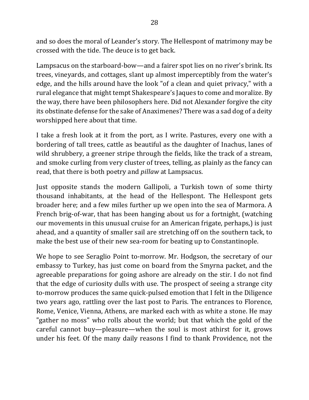and so does the moral of Leander's story. The Hellespont of matrimony may be crossed with the tide. The deuce is to get back.

Lampsacus on the starboard-bow—and a fairer spot lies on no river's brink. Its trees, vineyards, and cottages, slant up almost imperceptibly from the water's edge, and the hills around have the look "of a clean and quiet privacy," with a rural elegance that might tempt Shakespeare's Jaques to come and moralize. By the way, there have been philosophers here. Did not Alexander forgive the city its obstinate defense for the sake of Anaximenes? There was a sad dog of a deity worshipped here about that time.

I take a fresh look at it from the port, as I write. Pastures, every one with a bordering of tall trees, cattle as beautiful as the daughter of Inachus, lanes of wild shrubbery, a greener stripe through the fields, like the track of a stream, and smoke curling from very cluster of trees, telling, as plainly as the fancy can read, that there is both poetry and *pillaw* at Lampsacus.

Just opposite stands the modern Gallipoli, a Turkish town of some thirty thousand inhabitants, at the head of the Hellespont. The Hellespont gets broader here; and a few miles further up we open into the sea of Marmora. A French brig-of-war, that has been hanging about us for a fortnight, (watching our movements in this unusual cruise for an American frigate, perhaps,) is just ahead, and a quantity of smaller sail are stretching off on the southern tack, to make the best use of their new sea-room for beating up to Constantinople.

We hope to see Seraglio Point to-morrow. Mr. Hodgson, the secretary of our embassy to Turkey, has just come on board from the Smyrna packet, and the agreeable preparations for going ashore are already on the stir. I do not find that the edge of curiosity dulls with use. The prospect of seeing a strange city to-morrow produces the same quick-pulsed emotion that I felt in the Diligence two years ago, rattling over the last post to Paris. The entrances to Florence, Rome, Venice, Vienna, Athens, are marked each with as white a stone. He may "gather no moss" who rolls about the world; but that which the gold of the careful cannot buy—pleasure—when the soul is most athirst for it, grows under his feet. Of the many daily reasons I find to thank Providence, not the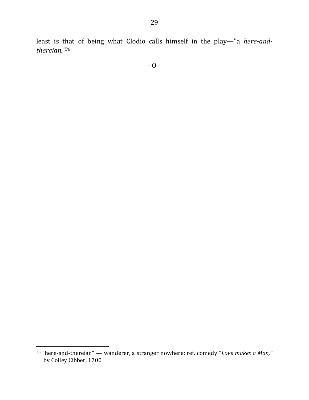least is that of being what Clodio calls himself in the play-"a *here-andthereian."36*

<sup>&</sup>lt;sup>36</sup> "here-and-thereian" — wanderer, a stranger nowhere; ref. comedy "*Love makes a Man,"* by Colley Cibber, 1700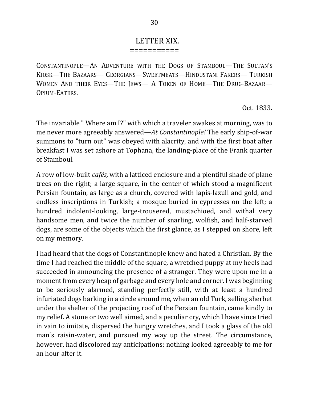#### LETTER XIX. ===========

CONSTANTINOPLE-AN ADVENTURE WITH THE DOGS OF STAMBOUL-THE SULTAN'S KIOSK—THE BAZAARS— GEORGIANS—SWEETMEATS—HINDUSTANI FAKERS— TURKISH WOMEN AND THEIR EYES—THE JEWS— A TOKEN OF HOME—THE DRUG-BAZAAR— OPIUM-EATERS.

Oct. 1833.

The invariable " Where am I?" with which a traveler awakes at morning, was to me never more agreeably answered—*At Constantinople!* The early ship-of-war summons to "turn out" was obeyed with alacrity, and with the first boat after breakfast I was set ashore at Tophana, the landing-place of the Frank quarter of Stamboul.

A row of low-built *cafés*, with a latticed enclosure and a plentiful shade of plane trees on the right; a large square, in the center of which stood a magnificent Persian fountain, as large as a church, covered with lapis-lazuli and gold, and endless inscriptions in Turkish; a mosque buried in cypresses on the left; a hundred indolent-looking, large-trousered, mustachioed, and withal very handsome men, and twice the number of snarling, wolfish, and half-starved dogs, are some of the objects which the first glance, as I stepped on shore, left on my memory.

I had heard that the dogs of Constantinople knew and hated a Christian. By the time I had reached the middle of the square, a wretched puppy at my heels had succeeded in announcing the presence of a stranger. They were upon me in a moment from every heap of garbage and every hole and corner. I was beginning to be seriously alarmed, standing perfectly still, with at least a hundred infuriated dogs barking in a circle around me, when an old Turk, selling sherbet under the shelter of the projecting roof of the Persian fountain, came kindly to my relief. A stone or two well aimed, and a peculiar cry, which I have since tried in vain to imitate, dispersed the hungry wretches, and I took a glass of the old man's raisin-water, and pursued my way up the street. The circumstance, however, had discolored my anticipations; nothing looked agreeably to me for an hour after it.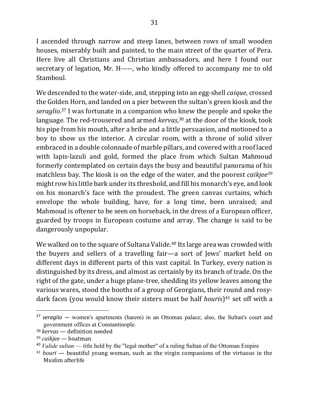I ascended through narrow and steep lanes, between rows of small wooden houses, miserably built and painted, to the main street of the quarter of Pera. Here live all Christians and Christian ambassadors, and here I found our secretary of legation, Mr. H-----, who kindly offered to accompany me to old Stamboul.

We descended to the water-side, and, stepping into an egg-shell *caique*, crossed the Golden Horn, and landed on a pier between the sultan's green kiosk and the seraglio.<sup>37</sup> I was fortunate in a companion who knew the people and spoke the language. The red-trousered and armed *kervas*,<sup>38</sup> at the door of the kiosk, took his pipe from his mouth, after a bribe and a little persuasion, and motioned to a boy to show us the interior. A circular room, with a throne of solid silver embraced in a double colonnade of marble pillars, and covered with a roof laced with lapis-lazuli and gold, formed the place from which Sultan Mahmoud formerly contemplated on certain days the busy and beautiful panorama of his matchless bay. The kiosk is on the edge of the water, and the poorest *caikjee*<sup>39</sup> might row his little bark under its threshold, and fill his monarch's eye, and look on his monarch's face with the proudest. The green canvas curtains, which envelope the whole building, have, for a long time, been unraised; and Mahmoud is oftener to be seen on horseback, in the dress of a European officer, guarded by troops in European costume and array. The change is said to be dangerously unpopular.

We walked on to the square of Sultana Valide.<sup>40</sup> Its large area was crowded with the buyers and sellers of a travelling fair—a sort of Jews' market held on different days in different parts of this vast capital. In Turkey, every nation is distinguished by its dress, and almost as certainly by its branch of trade. On the right of the gate, under a huge plane-tree, shedding its yellow leaves among the various wares, stood the booths of a group of Georgians, their round and rosydark faces (you would know their sisters must be half *houris*)<sup>41</sup> set off with a

<sup>&</sup>lt;sup>37</sup> *seraglio* — women's apartments (harem) in an Ottoman palace; also, the Sultan's court and government offices at Constantinople.

<sup>&</sup>lt;sup>38</sup> *kervas* — definition needed

<sup>39</sup> *caikjee* — boatman

<sup>40</sup> *Valide sultan* — title held by the "legal mother" of a ruling Sultan of the Ottoman Empire

 $41$  *houri* — beautiful young woman, such as the virgin companions of the virtuous in the Muslim afterlife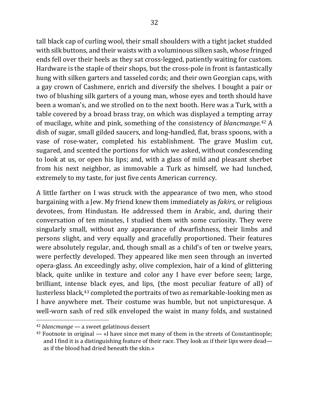tall black cap of curling wool, their small shoulders with a tight jacket studded with silk buttons, and their waists with a voluminous silken sash, whose fringed ends fell over their heels as they sat cross-legged, patiently waiting for custom. Hardware is the staple of their shops, but the cross-pole in front is fantastically hung with silken garters and tasseled cords; and their own Georgian caps, with a gay crown of Cashmere, enrich and diversify the shelves. I bought a pair or two of blushing silk garters of a young man, whose eyes and teeth should have been a woman's, and we strolled on to the next booth. Here was a Turk, with a table covered by a broad brass tray, on which was displayed a tempting array of mucilage, white and pink, something of the consistency of *blancmange*.<sup>42</sup> A dish of sugar, small gilded saucers, and long-handled, flat, brass spoons, with a vase of rose-water, completed his establishment. The grave Muslim cut, sugared, and scented the portions for which we asked, without condescending to look at us, or open his lips; and, with a glass of mild and pleasant sherbet from his next neighbor, as immovable a Turk as himself, we had lunched, extremely to my taste, for just five cents American currency.

A little farther on I was struck with the appearance of two men, who stood bargaining with a Jew. My friend knew them immediately as *fakirs*, or religious devotees, from Hindustan. He addressed them in Arabic, and, during their conversation of ten minutes, I studied them with some curiosity. They were singularly small, without any appearance of dwarfishness, their limbs and persons slight, and very equally and gracefully proportioned. Their features were absolutely regular, and, though small as a child's of ten or twelve years, were perfectly developed. They appeared like men seen through an inverted opera-glass. An exceedingly ashy, olive complexion, hair of a kind of glittering black, quite unlike in texture and color any I have ever before seen; large, brilliant, intense black eyes, and lips, (the most peculiar feature of all) of lusterless black,<sup>43</sup> completed the portraits of two as remarkable-looking men as I have anywhere met. Their costume was humble, but not unpicturesque. A well-worn sash of red silk enveloped the waist in many folds, and sustained

<sup>&</sup>lt;sup>42</sup> *blancmange* — a sweet gelatinous dessert

 $43$  Footnote in original — «I have since met many of them in the streets of Constantinople; and I find it is a distinguishing feature of their race. They look as if their lips were dead as if the blood had dried beneath the skin.»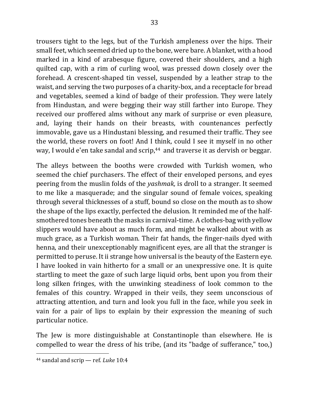trousers tight to the legs, but of the Turkish ampleness over the hips. Their small feet, which seemed dried up to the bone, were bare. A blanket, with a hood marked in a kind of arabesque figure, covered their shoulders, and a high quilted cap, with a rim of curling wool, was pressed down closely over the forehead. A crescent-shaped tin vessel, suspended by a leather strap to the waist, and serving the two purposes of a charity-box, and a receptacle for bread and vegetables, seemed a kind of badge of their profession. They were lately from Hindustan, and were begging their way still farther into Europe. They received our proffered alms without any mark of surprise or even pleasure, and, laying their hands on their breasts, with countenances perfectly immovable, gave us a Hindustani blessing, and resumed their traffic. They see the world, these rovers on foot! And I think, could I see it myself in no other way, I would e'en take sandal and scrip,<sup>44</sup> and traverse it as dervish or beggar.

The alleys between the booths were crowded with Turkish women, who seemed the chief purchasers. The effect of their enveloped persons, and eyes peering from the muslin folds of the *yashmak*, is droll to a stranger. It seemed to me like a masquerade; and the singular sound of female voices, speaking through several thicknesses of a stuff, bound so close on the mouth as to show the shape of the lips exactly, perfected the delusion. It reminded me of the halfsmothered tones beneath the masks in carnival-time. A clothes-bag with yellow slippers would have about as much form, and might be walked about with as much grace, as a Turkish woman. Their fat hands, the finger-nails dyed with henna, and their unexceptionably magnificent eyes, are all that the stranger is permitted to peruse. It ii strange how universal is the beauty of the Eastern eye. I have looked in vain hitherto for a small or an unexpressive one. It is quite startling to meet the gaze of such large liquid orbs, bent upon you from their long silken fringes, with the unwinking steadiness of look common to the females of this country. Wrapped in their veils, they seem unconscious of attracting attention, and turn and look you full in the face, while you seek in vain for a pair of lips to explain by their expression the meaning of such particular notice.

The Jew is more distinguishable at Constantinople than elsewhere. He is compelled to wear the dress of his tribe, (and its "badge of sufferance," too,)

<sup>&</sup>lt;sup>44</sup> sandal and scrip - ref. *Luke* 10:4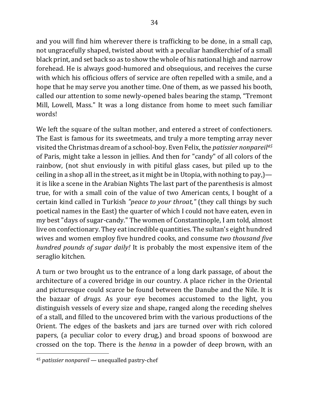and you will find him wherever there is trafficking to be done, in a small cap, not ungracefully shaped, twisted about with a peculiar handkerchief of a small black print, and set back so as to show the whole of his national high and narrow forehead. He is always good-humored and obsequious, and receives the curse with which his officious offers of service are often repelled with a smile, and a hope that he may serve you another time. One of them, as we passed his booth, called our attention to some newly-opened bales bearing the stamp, "Tremont Mill, Lowell, Mass." It was a long distance from home to meet such familiar words!

We left the square of the sultan mother, and entered a street of confectioners. The East is famous for its sweetmeats, and truly a more tempting array never visited the Christmas dream of a school-boy. Even Felix, the *patissier nonpareil<sup>45</sup>* of Paris, might take a lesson in jellies. And then for "candy" of all colors of the rainbow, (not shut enviously in with pitiful glass cases, but piled up to the ceiling in a shop all in the street, as it might be in Utopia, with nothing to pay,) it is like a scene in the Arabian Nights The last part of the parenthesis is almost true, for with a small coin of the value of two American cents, I bought of a certain kind called in Turkish *"peace to your throat,"* (they call things by such poetical names in the East) the quarter of which I could not have eaten, even in my best "days of sugar-candy." The women of Constantinople, I am told, almost live on confectionary. They eat incredible quantities. The sultan's eight hundred wives and women employ five hundred cooks, and consume *two thousand five hundred pounds of sugar daily!* It is probably the most expensive item of the seraglio kitchen.

A turn or two brought us to the entrance of a long dark passage, of about the architecture of a covered bridge in our country. A place richer in the Oriental and picturesque could scarce be found between the Danube and the Nile. It is the bazaar of *drugs*. As your eye becomes accustomed to the light, you distinguish vessels of every size and shape, ranged along the receding shelves of a stall, and filled to the uncovered brim with the various productions of the Orient. The edges of the baskets and jars are turned over with rich colored papers, (a peculiar color to every drug,) and broad spoons of boxwood are crossed on the top. There is the *henna* in a powder of deep brown, with an

<sup>&</sup>lt;sup>45</sup> *patissier nonpareil* — unequalled pastry-chef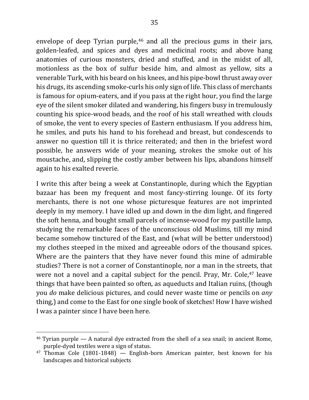envelope of deep Tyrian purple,<sup>46</sup> and all the precious gums in their jars, golden-leafed, and spices and dyes and medicinal roots; and above hang anatomies of curious monsters, dried and stuffed, and in the midst of all, motionless as the box of sulfur beside him, and almost as yellow, sits a venerable Turk, with his beard on his knees, and his pipe-bowl thrust away over his drugs, its ascending smoke-curls his only sign of life. This class of merchants is famous for opium-eaters, and if you pass at the right hour, you find the large eve of the silent smoker dilated and wandering, his fingers busy in tremulously counting his spice-wood beads, and the roof of his stall wreathed with clouds of smoke, the vent to every species of Eastern enthusiasm. If you address him, he smiles, and puts his hand to his forehead and breast, but condescends to answer no question till it is thrice reiterated; and then in the briefest word possible, he answers wide of your meaning, strokes the smoke out of his moustache, and, slipping the costly amber between his lips, abandons himself again to his exalted reverie.

I write this after being a week at Constantinople, during which the Egyptian bazaar has been my frequent and most fancy-stirring lounge. Of its forty merchants, there is not one whose picturesque features are not imprinted deeply in my memory. I have idled up and down in the dim light, and fingered the soft henna, and bought small parcels of incense-wood for my pastille lamp, studying the remarkable faces of the unconscious old Muslims, till my mind became somehow tinctured of the East, and (what will be better understood) my clothes steeped in the mixed and agreeable odors of the thousand spices. Where are the painters that they have never found this mine of admirable studies? There is not a corner of Constantinople, nor a man in the streets, that were not a novel and a capital subject for the pencil. Pray, Mr. Cole, $47$  leave things that have been painted so often, as aqueducts and Italian ruins, (though you *do* make delicious pictures, and could never waste time or pencils on *any* thing,) and come to the East for one single book of sketches! How I have wished I was a painter since I have been here.

 $46$  Tyrian purple — A natural dye extracted from the shell of a sea snail; in ancient Rome, purple-dyed textiles were a sign of status.

 $47$  Thomas Cole (1801-1848) - English-born American painter, best known for his landscapes and historical subjects